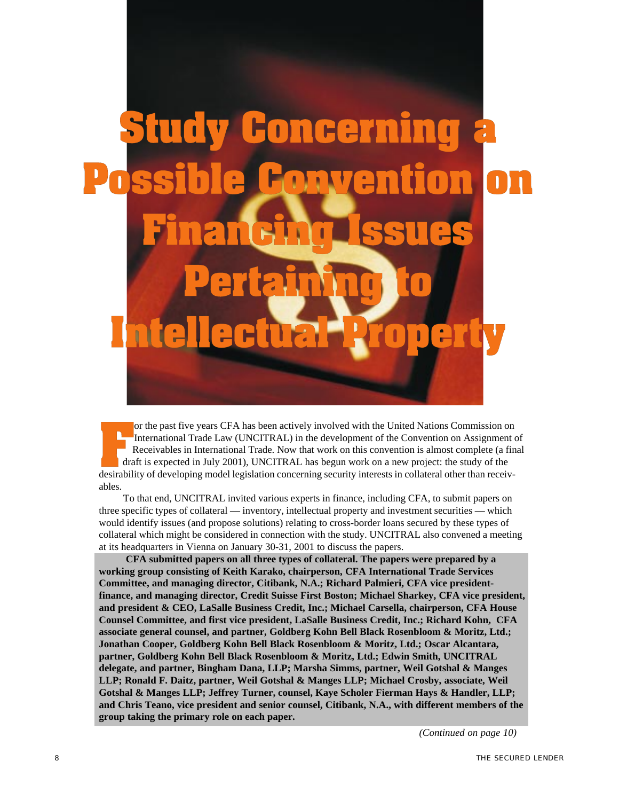# cer

or the past five years CFA has been actively involved with the United Nations Commission on International Trade Law (UNCITRAL) in the development of the Convention on Assignment of Receivables in International Trade. Now that work on this convention is almost complete (a final draft is expected in July 2001), UNCITRAL has begun work on a new project: the study of the desirability of developing model legislation concerning security interests in collateral other than receivables.

To that end, UNCITRAL invited various experts in finance, including CFA, to submit papers on three specific types of collateral — inventory, intellectual property and investment securities — which would identify issues (and propose solutions) relating to cross-border loans secured by these types of collateral which might be considered in connection with the study. UNCITRAL also convened a meeting at its headquarters in Vienna on January 30-31, 2001 to discuss the papers.

 **CFA submitted papers on all three types of collateral. The papers were prepared by a working group consisting of Keith Karako, chairperson, CFA International Trade Services Committee, and managing director, Citibank, N.A.; Richard Palmieri, CFA vice presidentfinance, and managing director, Credit Suisse First Boston; Michael Sharkey, CFA vice president, and president & CEO, LaSalle Business Credit, Inc.; Michael Carsella, chairperson, CFA House Counsel Committee, and first vice president, LaSalle Business Credit, Inc.; Richard Kohn, CFA associate general counsel, and partner, Goldberg Kohn Bell Black Rosenbloom & Moritz, Ltd.; Jonathan Cooper, Goldberg Kohn Bell Black Rosenbloom & Moritz, Ltd.; Oscar Alcantara, partner, Goldberg Kohn Bell Black Rosenbloom & Moritz, Ltd.; Edwin Smith, UNCITRAL delegate, and partner, Bingham Dana, LLP; Marsha Simms, partner, Weil Gotshal & Manges LLP; Ronald F. Daitz, partner, Weil Gotshal & Manges LLP; Michael Crosby, associate, Weil Gotshal & Manges LLP; Jeffrey Turner, counsel, Kaye Scholer Fierman Hays & Handler, LLP; and Chris Teano, vice president and senior counsel, Citibank, N.A., with different members of the group taking the primary role on each paper.**

*(Continued on page 10)*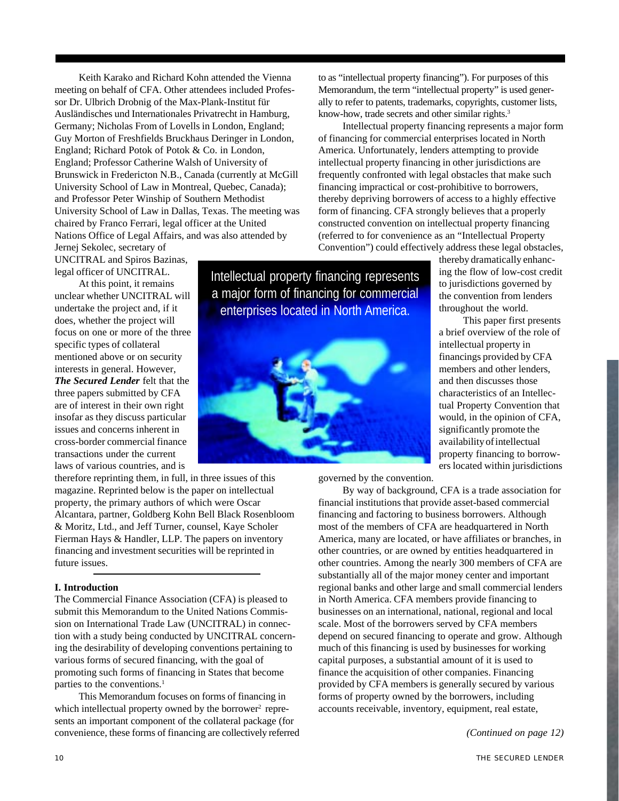Keith Karako and Richard Kohn attended the Vienna meeting on behalf of CFA. Other attendees included Professor Dr. Ulbrich Drobnig of the Max-Plank-Institut für Ausländisches und Internationales Privatrecht in Hamburg, Germany; Nicholas From of Lovells in London, England; Guy Morton of Freshfields Bruckhaus Deringer in London, England; Richard Potok of Potok & Co. in London, England; Professor Catherine Walsh of University of Brunswick in Fredericton N.B., Canada (currently at McGill University School of Law in Montreal, Quebec, Canada); and Professor Peter Winship of Southern Methodist University School of Law in Dallas, Texas. The meeting was chaired by Franco Ferrari, legal officer at the United Nations Office of Legal Affairs, and was also attended by

Jernej Sekolec, secretary of UNCITRAL and Spiros Bazinas, legal officer of UNCITRAL.

At this point, it remains unclear whether UNCITRAL will undertake the project and, if it does, whether the project will focus on one or more of the three specific types of collateral mentioned above or on security interests in general. However, *The Secured Lender* felt that the three papers submitted by CFA are of interest in their own right insofar as they discuss particular issues and concerns inherent in cross-border commercial finance transactions under the current laws of various countries, and is

therefore reprinting them, in full, in three issues of this magazine. Reprinted below is the paper on intellectual property, the primary authors of which were Oscar Alcantara, partner, Goldberg Kohn Bell Black Rosenbloom & Moritz, Ltd., and Jeff Turner, counsel, Kaye Scholer Fierman Hays & Handler, LLP. The papers on inventory financing and investment securities will be reprinted in future issues.

### **I. Introduction**

The Commercial Finance Association (CFA) is pleased to submit this Memorandum to the United Nations Commission on International Trade Law (UNCITRAL) in connection with a study being conducted by UNCITRAL concerning the desirability of developing conventions pertaining to various forms of secured financing, with the goal of promoting such forms of financing in States that become parties to the conventions.<sup>1</sup>

This Memorandum focuses on forms of financing in which intellectual property owned by the borrower<sup>2</sup> represents an important component of the collateral package (for convenience, these forms of financing are collectively referred to as "intellectual property financing"). For purposes of this Memorandum, the term "intellectual property" is used generally to refer to patents, trademarks, copyrights, customer lists, know-how, trade secrets and other similar rights.<sup>3</sup>

Intellectual property financing represents a major form of financing for commercial enterprises located in North America. Unfortunately, lenders attempting to provide intellectual property financing in other jurisdictions are frequently confronted with legal obstacles that make such financing impractical or cost-prohibitive to borrowers, thereby depriving borrowers of access to a highly effective form of financing. CFA strongly believes that a properly constructed convention on intellectual property financing (referred to for convenience as an "Intellectual Property Convention") could effectively address these legal obstacles,

Intellectual property financing represents a major form of financing for commercial enterprises located in North America.



thereby dramatically enhancing the flow of low-cost credit to jurisdictions governed by the convention from lenders throughout the world.

This paper first presents a brief overview of the role of intellectual property in financings provided by CFA members and other lenders, and then discusses those characteristics of an Intellectual Property Convention that would, in the opinion of CFA, significantly promote the availability of intellectual property financing to borrowers located within jurisdictions

governed by the convention.

By way of background, CFA is a trade association for financial institutions that provide asset-based commercial financing and factoring to business borrowers. Although most of the members of CFA are headquartered in North America, many are located, or have affiliates or branches, in other countries, or are owned by entities headquartered in other countries. Among the nearly 300 members of CFA are substantially all of the major money center and important regional banks and other large and small commercial lenders in North America. CFA members provide financing to businesses on an international, national, regional and local scale. Most of the borrowers served by CFA members depend on secured financing to operate and grow. Although much of this financing is used by businesses for working capital purposes, a substantial amount of it is used to finance the acquisition of other companies. Financing provided by CFA members is generally secured by various forms of property owned by the borrowers, including accounts receivable, inventory, equipment, real estate,

*(Continued on page 12)*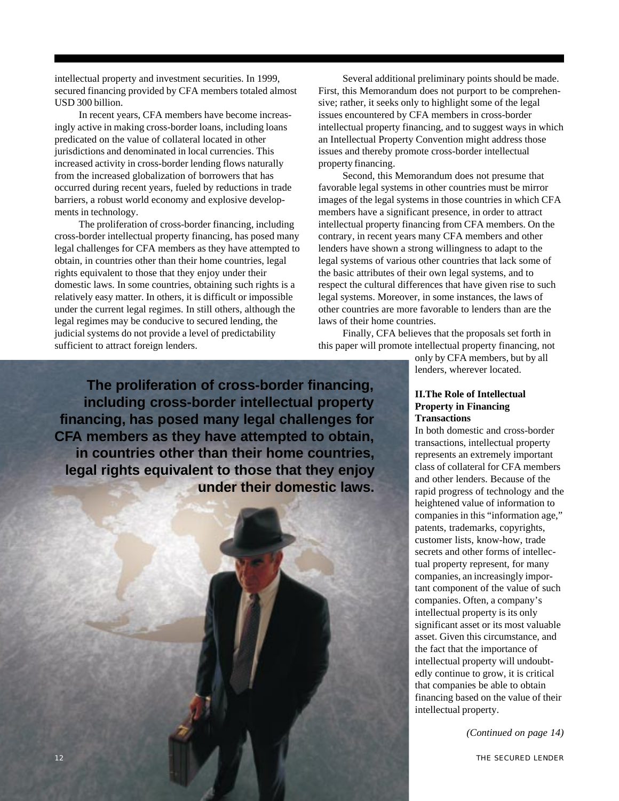intellectual property and investment securities. In 1999, secured financing provided by CFA members totaled almost USD 300 billion.

In recent years, CFA members have become increasingly active in making cross-border loans, including loans predicated on the value of collateral located in other jurisdictions and denominated in local currencies. This increased activity in cross-border lending flows naturally from the increased globalization of borrowers that has occurred during recent years, fueled by reductions in trade barriers, a robust world economy and explosive developments in technology.

The proliferation of cross-border financing, including cross-border intellectual property financing, has posed many legal challenges for CFA members as they have attempted to obtain, in countries other than their home countries, legal rights equivalent to those that they enjoy under their domestic laws. In some countries, obtaining such rights is a relatively easy matter. In others, it is difficult or impossible under the current legal regimes. In still others, although the legal regimes may be conducive to secured lending, the judicial systems do not provide a level of predictability sufficient to attract foreign lenders.

Several additional preliminary points should be made. First, this Memorandum does not purport to be comprehensive; rather, it seeks only to highlight some of the legal issues encountered by CFA members in cross-border intellectual property financing, and to suggest ways in which an Intellectual Property Convention might address those issues and thereby promote cross-border intellectual property financing.

Second, this Memorandum does not presume that favorable legal systems in other countries must be mirror images of the legal systems in those countries in which CFA members have a significant presence, in order to attract intellectual property financing from CFA members. On the contrary, in recent years many CFA members and other lenders have shown a strong willingness to adapt to the legal systems of various other countries that lack some of the basic attributes of their own legal systems, and to respect the cultural differences that have given rise to such legal systems. Moreover, in some instances, the laws of other countries are more favorable to lenders than are the laws of their home countries.

Finally, CFA believes that the proposals set forth in this paper will promote intellectual property financing, not

> only by CFA members, but by all lenders, wherever located.

# **II.The Role of Intellectual Property in Financing Transactions**

In both domestic and cross-border transactions, intellectual property represents an extremely important class of collateral for CFA members and other lenders. Because of the rapid progress of technology and the heightened value of information to companies in this "information age," patents, trademarks, copyrights, customer lists, know-how, trade secrets and other forms of intellectual property represent, for many companies, an increasingly important component of the value of such companies. Often, a company's intellectual property is its only significant asset or its most valuable asset. Given this circumstance, and the fact that the importance of intellectual property will undoubtedly continue to grow, it is critical that companies be able to obtain financing based on the value of their intellectual property.

*(Continued on page 14)*

**The proliferation of cross-border financing, including cross-border intellectual property financing, has posed many legal challenges for CFA members as they have attempted to obtain, in countries other than their home countries, legal rights equivalent to those that they enjoy under their domestic laws.**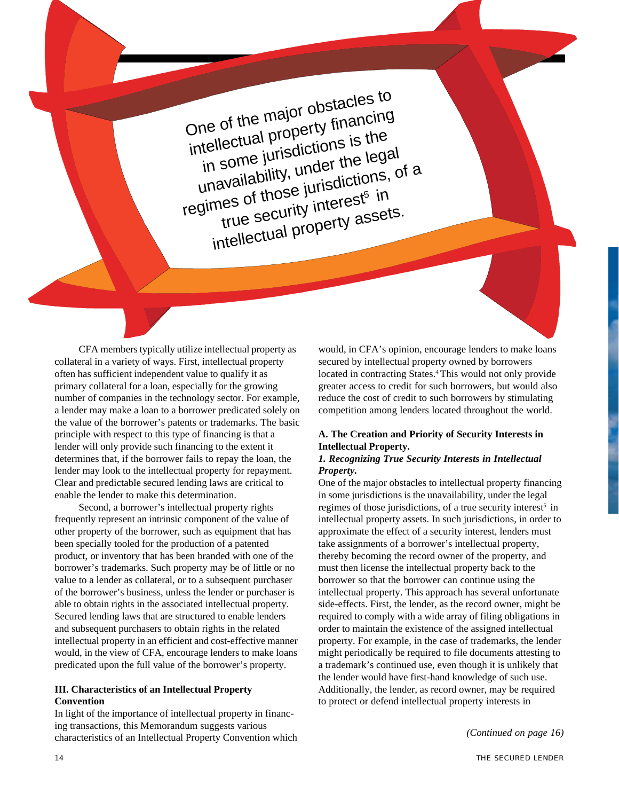One of the major obstacles to intellectual property financing in some jurisdictions is the unavailability, under the legal regimes of those jurisdictions, of a true security interest<sup>5</sup> in intellectual property assets.

CFA members typically utilize intellectual property as collateral in a variety of ways. First, intellectual property often has sufficient independent value to qualify it as primary collateral for a loan, especially for the growing number of companies in the technology sector. For example, a lender may make a loan to a borrower predicated solely on the value of the borrower's patents or trademarks. The basic principle with respect to this type of financing is that a lender will only provide such financing to the extent it determines that, if the borrower fails to repay the loan, the lender may look to the intellectual property for repayment. Clear and predictable secured lending laws are critical to enable the lender to make this determination.

Second, a borrower's intellectual property rights frequently represent an intrinsic component of the value of other property of the borrower, such as equipment that has been specially tooled for the production of a patented product, or inventory that has been branded with one of the borrower's trademarks. Such property may be of little or no value to a lender as collateral, or to a subsequent purchaser of the borrower's business, unless the lender or purchaser is able to obtain rights in the associated intellectual property. Secured lending laws that are structured to enable lenders and subsequent purchasers to obtain rights in the related intellectual property in an efficient and cost-effective manner would, in the view of CFA, encourage lenders to make loans predicated upon the full value of the borrower's property.

# **III. Characteristics of an Intellectual Property Convention**

In light of the importance of intellectual property in financing transactions, this Memorandum suggests various characteristics of an Intellectual Property Convention which would, in CFA's opinion, encourage lenders to make loans secured by intellectual property owned by borrowers located in contracting States.<sup>4</sup> This would not only provide greater access to credit for such borrowers, but would also reduce the cost of credit to such borrowers by stimulating competition among lenders located throughout the world.

# **A. The Creation and Priority of Security Interests in Intellectual Property.**

### *1. Recognizing True Security Interests in Intellectual Property.*

One of the major obstacles to intellectual property financing in some jurisdictions is the unavailability, under the legal regimes of those jurisdictions, of a true security interest<sup>5</sup> in intellectual property assets. In such jurisdictions, in order to approximate the effect of a security interest, lenders must take assignments of a borrower's intellectual property, thereby becoming the record owner of the property, and must then license the intellectual property back to the borrower so that the borrower can continue using the intellectual property. This approach has several unfortunate side-effects. First, the lender, as the record owner, might be required to comply with a wide array of filing obligations in order to maintain the existence of the assigned intellectual property. For example, in the case of trademarks, the lender might periodically be required to file documents attesting to a trademark's continued use, even though it is unlikely that the lender would have first-hand knowledge of such use. Additionally, the lender, as record owner, may be required to protect or defend intellectual property interests in

*(Continued on page 16)*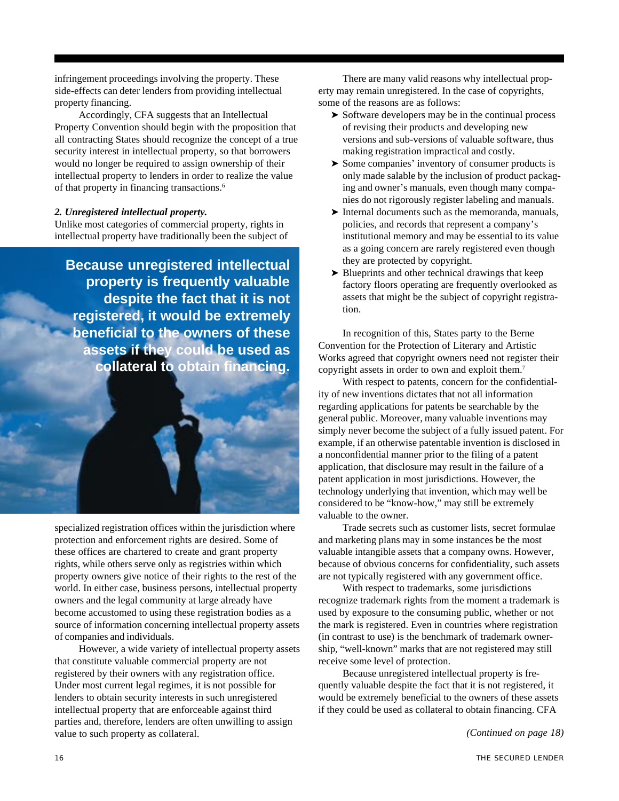infringement proceedings involving the property. These side-effects can deter lenders from providing intellectual property financing.

Accordingly, CFA suggests that an Intellectual Property Convention should begin with the proposition that all contracting States should recognize the concept of a true security interest in intellectual property, so that borrowers would no longer be required to assign ownership of their intellectual property to lenders in order to realize the value of that property in financing transactions.<sup>6</sup>

### *2. Unregistered intellectual property.*

Unlike most categories of commercial property, rights in intellectual property have traditionally been the subject of

**Because unregistered intellectual property is frequently valuable despite the fact that it is not registered, it would be extremely beneficial to the owners of these assets if they could be used as collateral to obtain financing.**

specialized registration offices within the jurisdiction where protection and enforcement rights are desired. Some of these offices are chartered to create and grant property rights, while others serve only as registries within which property owners give notice of their rights to the rest of the world. In either case, business persons, intellectual property owners and the legal community at large already have become accustomed to using these registration bodies as a source of information concerning intellectual property assets of companies and individuals.

However, a wide variety of intellectual property assets that constitute valuable commercial property are not registered by their owners with any registration office. Under most current legal regimes, it is not possible for lenders to obtain security interests in such unregistered intellectual property that are enforceable against third parties and, therefore, lenders are often unwilling to assign value to such property as collateral. *(Continued on page 18)*

There are many valid reasons why intellectual property may remain unregistered. In the case of copyrights, some of the reasons are as follows:

- ➤ Software developers may be in the continual process of revising their products and developing new versions and sub-versions of valuable software, thus making registration impractical and costly.
- ➤ Some companies' inventory of consumer products is only made salable by the inclusion of product packaging and owner's manuals, even though many companies do not rigorously register labeling and manuals.
- ➤ Internal documents such as the memoranda, manuals, policies, and records that represent a company's institutional memory and may be essential to its value as a going concern are rarely registered even though they are protected by copyright.
- ➤ Blueprints and other technical drawings that keep factory floors operating are frequently overlooked as assets that might be the subject of copyright registration.

In recognition of this, States party to the Berne Convention for the Protection of Literary and Artistic Works agreed that copyright owners need not register their copyright assets in order to own and exploit them.7

With respect to patents, concern for the confidentiality of new inventions dictates that not all information regarding applications for patents be searchable by the general public. Moreover, many valuable inventions may simply never become the subject of a fully issued patent. For example, if an otherwise patentable invention is disclosed in a nonconfidential manner prior to the filing of a patent application, that disclosure may result in the failure of a patent application in most jurisdictions. However, the technology underlying that invention, which may well be considered to be "know-how," may still be extremely valuable to the owner.

Trade secrets such as customer lists, secret formulae and marketing plans may in some instances be the most valuable intangible assets that a company owns. However, because of obvious concerns for confidentiality, such assets are not typically registered with any government office.

With respect to trademarks, some jurisdictions recognize trademark rights from the moment a trademark is used by exposure to the consuming public, whether or not the mark is registered. Even in countries where registration (in contrast to use) is the benchmark of trademark ownership, "well-known" marks that are not registered may still receive some level of protection.

Because unregistered intellectual property is frequently valuable despite the fact that it is not registered, it would be extremely beneficial to the owners of these assets if they could be used as collateral to obtain financing. CFA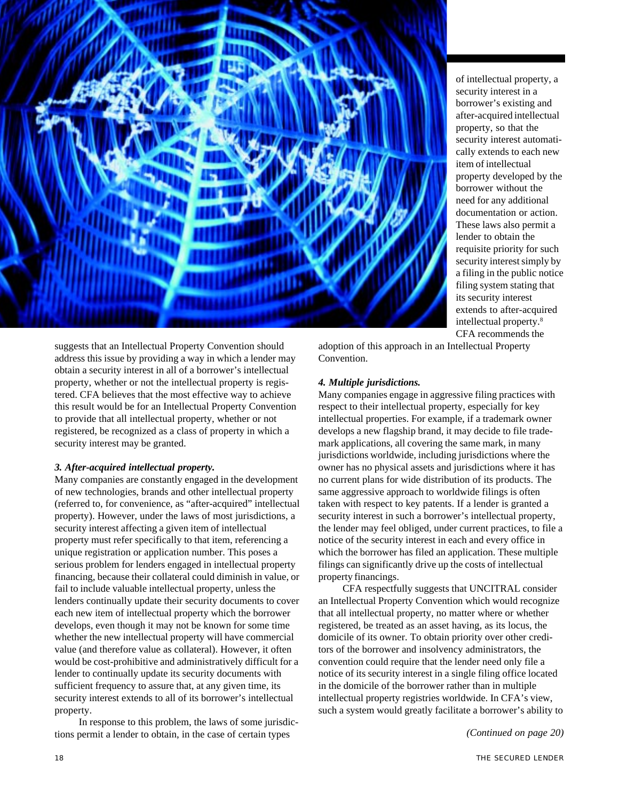

of intellectual property, a security interest in a borrower's existing and after-acquired intellectual property, so that the security interest automatically extends to each new item of intellectual property developed by the borrower without the need for any additional documentation or action. These laws also permit a lender to obtain the requisite priority for such security interest simply by a filing in the public notice filing system stating that its security interest extends to after-acquired intellectual property.8 CFA recommends the

suggests that an Intellectual Property Convention should address this issue by providing a way in which a lender may obtain a security interest in all of a borrower's intellectual property, whether or not the intellectual property is registered. CFA believes that the most effective way to achieve this result would be for an Intellectual Property Convention to provide that all intellectual property, whether or not registered, be recognized as a class of property in which a security interest may be granted.

# *3. After-acquired intellectual property.*

Many companies are constantly engaged in the development of new technologies, brands and other intellectual property (referred to, for convenience, as "after-acquired" intellectual property). However, under the laws of most jurisdictions, a security interest affecting a given item of intellectual property must refer specifically to that item, referencing a unique registration or application number. This poses a serious problem for lenders engaged in intellectual property financing, because their collateral could diminish in value, or fail to include valuable intellectual property, unless the lenders continually update their security documents to cover each new item of intellectual property which the borrower develops, even though it may not be known for some time whether the new intellectual property will have commercial value (and therefore value as collateral). However, it often would be cost-prohibitive and administratively difficult for a lender to continually update its security documents with sufficient frequency to assure that, at any given time, its security interest extends to all of its borrower's intellectual property.

In response to this problem, the laws of some jurisdictions permit a lender to obtain, in the case of certain types

adoption of this approach in an Intellectual Property Convention.

### *4. Multiple jurisdictions.*

Many companies engage in aggressive filing practices with respect to their intellectual property, especially for key intellectual properties. For example, if a trademark owner develops a new flagship brand, it may decide to file trademark applications, all covering the same mark, in many jurisdictions worldwide, including jurisdictions where the owner has no physical assets and jurisdictions where it has no current plans for wide distribution of its products. The same aggressive approach to worldwide filings is often taken with respect to key patents. If a lender is granted a security interest in such a borrower's intellectual property, the lender may feel obliged, under current practices, to file a notice of the security interest in each and every office in which the borrower has filed an application. These multiple filings can significantly drive up the costs of intellectual property financings.

CFA respectfully suggests that UNCITRAL consider an Intellectual Property Convention which would recognize that all intellectual property, no matter where or whether registered, be treated as an asset having, as its locus, the domicile of its owner. To obtain priority over other creditors of the borrower and insolvency administrators, the convention could require that the lender need only file a notice of its security interest in a single filing office located in the domicile of the borrower rather than in multiple intellectual property registries worldwide. In CFA's view, such a system would greatly facilitate a borrower's ability to

*(Continued on page 20)*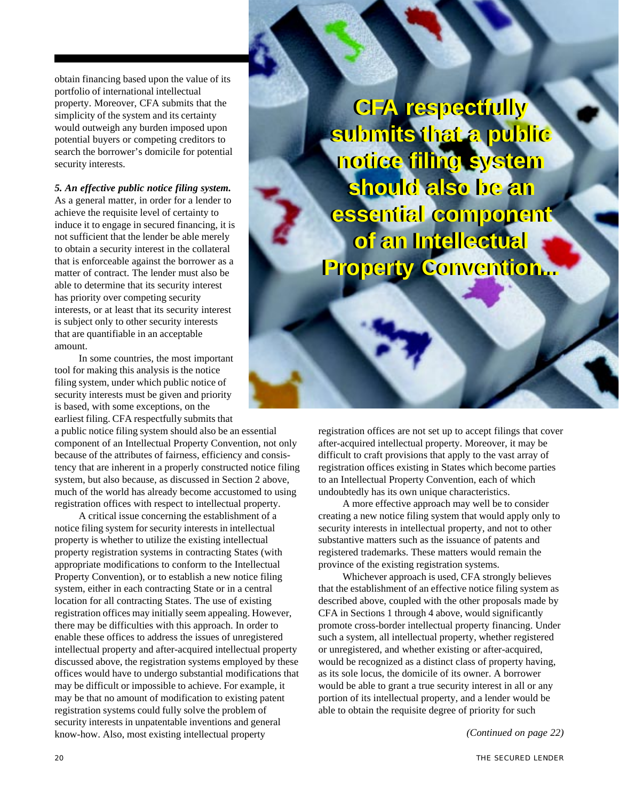obtain financing based upon the value of its portfolio of international intellectual property. Moreover, CFA submits that the simplicity of the system and its certainty would outweigh any burden imposed upon potential buyers or competing creditors to search the borrower's domicile for potential security interests.

*5. An effective public notice filing system.* As a general matter, in order for a lender to achieve the requisite level of certainty to induce it to engage in secured financing, it is not sufficient that the lender be able merely to obtain a security interest in the collateral that is enforceable against the borrower as a matter of contract. The lender must also be able to determine that its security interest has priority over competing security interests, or at least that its security interest is subject only to other security interests that are quantifiable in an acceptable amount.

In some countries, the most important tool for making this analysis is the notice filing system, under which public notice of security interests must be given and priority is based, with some exceptions, on the earliest filing. CFA respectfully submits that

a public notice filing system should also be an essential component of an Intellectual Property Convention, not only because of the attributes of fairness, efficiency and consistency that are inherent in a properly constructed notice filing system, but also because, as discussed in Section 2 above, much of the world has already become accustomed to using registration offices with respect to intellectual property.

A critical issue concerning the establishment of a notice filing system for security interests in intellectual property is whether to utilize the existing intellectual property registration systems in contracting States (with appropriate modifications to conform to the Intellectual Property Convention), or to establish a new notice filing system, either in each contracting State or in a central location for all contracting States. The use of existing registration offices may initially seem appealing. However, there may be difficulties with this approach. In order to enable these offices to address the issues of unregistered intellectual property and after-acquired intellectual property discussed above, the registration systems employed by these offices would have to undergo substantial modifications that may be difficult or impossible to achieve. For example, it may be that no amount of modification to existing patent registration systems could fully solve the problem of security interests in unpatentable inventions and general know-how. Also, most existing intellectual property *(Continued on page 22)*

**CFA respectfully CFA respectfully submits that a public submits that a public notice filing system notice filing system should also be an should also be an essential component essential component of an Intellectual of an Intellectual Property Convention... Property Convention...**

registration offices are not set up to accept filings that cover after-acquired intellectual property. Moreover, it may be difficult to craft provisions that apply to the vast array of registration offices existing in States which become parties to an Intellectual Property Convention, each of which undoubtedly has its own unique characteristics.

A more effective approach may well be to consider creating a new notice filing system that would apply only to security interests in intellectual property, and not to other substantive matters such as the issuance of patents and registered trademarks. These matters would remain the province of the existing registration systems.

Whichever approach is used, CFA strongly believes that the establishment of an effective notice filing system as described above, coupled with the other proposals made by CFA in Sections 1 through 4 above, would significantly promote cross-border intellectual property financing. Under such a system, all intellectual property, whether registered or unregistered, and whether existing or after-acquired, would be recognized as a distinct class of property having, as its sole locus, the domicile of its owner. A borrower would be able to grant a true security interest in all or any portion of its intellectual property, and a lender would be able to obtain the requisite degree of priority for such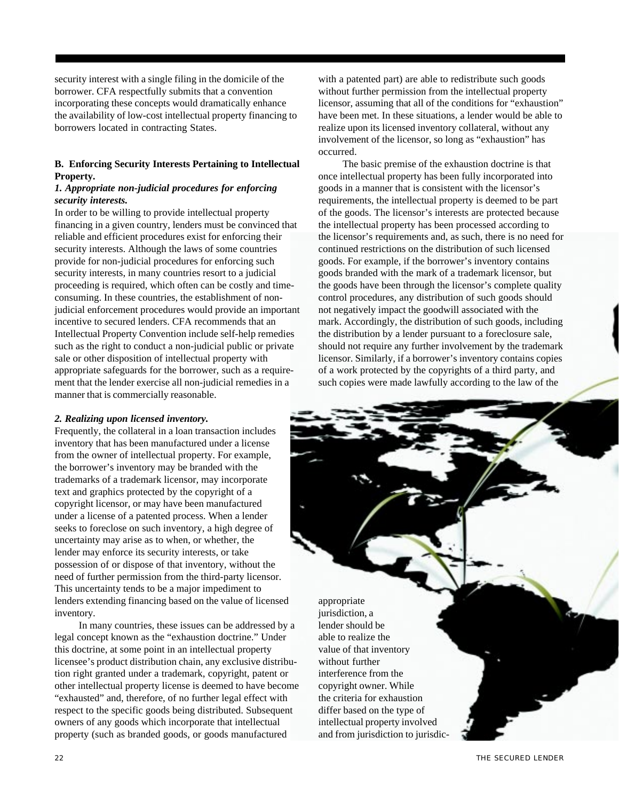security interest with a single filing in the domicile of the borrower. CFA respectfully submits that a convention incorporating these concepts would dramatically enhance the availability of low-cost intellectual property financing to borrowers located in contracting States.

# **B. Enforcing Security Interests Pertaining to Intellectual Property.**

### *1. Appropriate non-judicial procedures for enforcing security interests.*

In order to be willing to provide intellectual property financing in a given country, lenders must be convinced that reliable and efficient procedures exist for enforcing their security interests. Although the laws of some countries provide for non-judicial procedures for enforcing such security interests, in many countries resort to a judicial proceeding is required, which often can be costly and timeconsuming. In these countries, the establishment of nonjudicial enforcement procedures would provide an important incentive to secured lenders. CFA recommends that an Intellectual Property Convention include self-help remedies such as the right to conduct a non-judicial public or private sale or other disposition of intellectual property with appropriate safeguards for the borrower, such as a requirement that the lender exercise all non-judicial remedies in a manner that is commercially reasonable.

# *2. Realizing upon licensed inventory.*

Frequently, the collateral in a loan transaction includes inventory that has been manufactured under a license from the owner of intellectual property. For example, the borrower's inventory may be branded with the trademarks of a trademark licensor, may incorporate text and graphics protected by the copyright of a copyright licensor, or may have been manufactured under a license of a patented process. When a lender seeks to foreclose on such inventory, a high degree of uncertainty may arise as to when, or whether, the lender may enforce its security interests, or take possession of or dispose of that inventory, without the need of further permission from the third-party licensor. This uncertainty tends to be a major impediment to lenders extending financing based on the value of licensed inventory.

In many countries, these issues can be addressed by a legal concept known as the "exhaustion doctrine." Under this doctrine, at some point in an intellectual property licensee's product distribution chain, any exclusive distribution right granted under a trademark, copyright, patent or other intellectual property license is deemed to have become "exhausted" and, therefore, of no further legal effect with respect to the specific goods being distributed. Subsequent owners of any goods which incorporate that intellectual property (such as branded goods, or goods manufactured

with a patented part) are able to redistribute such goods without further permission from the intellectual property licensor, assuming that all of the conditions for "exhaustion" have been met. In these situations, a lender would be able to realize upon its licensed inventory collateral, without any involvement of the licensor, so long as "exhaustion" has occurred.

The basic premise of the exhaustion doctrine is that once intellectual property has been fully incorporated into goods in a manner that is consistent with the licensor's requirements, the intellectual property is deemed to be part of the goods. The licensor's interests are protected because the intellectual property has been processed according to the licensor's requirements and, as such, there is no need for continued restrictions on the distribution of such licensed goods. For example, if the borrower's inventory contains goods branded with the mark of a trademark licensor, but the goods have been through the licensor's complete quality control procedures, any distribution of such goods should not negatively impact the goodwill associated with the mark. Accordingly, the distribution of such goods, including the distribution by a lender pursuant to a foreclosure sale, should not require any further involvement by the trademark licensor. Similarly, if a borrower's inventory contains copies of a work protected by the copyrights of a third party, and such copies were made lawfully according to the law of the

appropriate jurisdiction, a lender should be able to realize the value of that inventory without further interference from the copyright owner. While the criteria for exhaustion differ based on the type of intellectual property involved and from jurisdiction to jurisdic-

22 THE SECURED LENDER